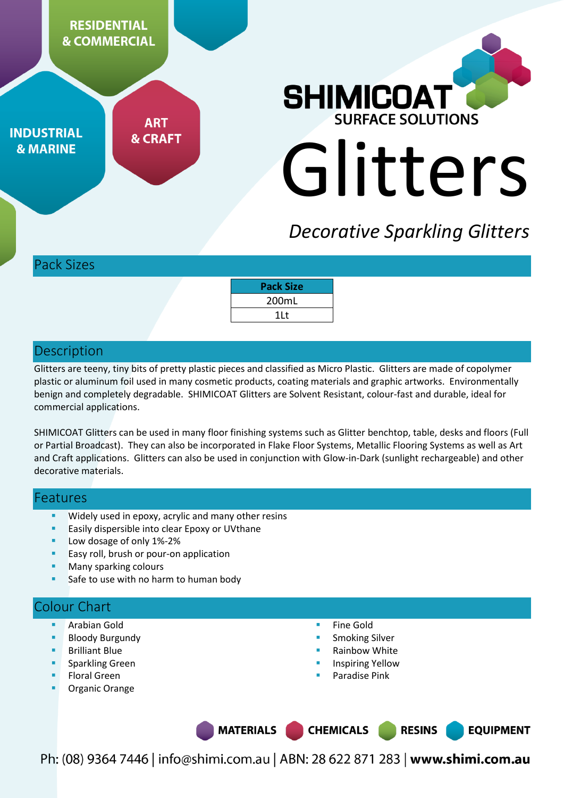

**INDUSTRIAL & MARINE** 

**ART & CRAFT** 



# *Decorative Sparkling Glitters*

Pack Sizes

| <b>Pack Size</b> |  |
|------------------|--|
| 200mL            |  |
| 1Lt              |  |

## **Description**

Glitters are teeny, tiny bits of pretty plastic pieces and classified as Micro Plastic. Glitters are made of copolymer plastic or aluminum foil used in many cosmetic products, coating materials and graphic artworks. Environmentally benign and completely degradable. SHIMICOAT Glitters are Solvent Resistant, colour-fast and durable, ideal for commercial applications.

SHIMICOAT Glitters can be used in many floor finishing systems such as Glitter benchtop, table, desks and floors (Full or Partial Broadcast). They can also be incorporated in Flake Floor Systems, Metallic Flooring Systems as well as Art and Craft applications. Glitters can also be used in conjunction with Glow-in-Dark (sunlight rechargeable) and other decorative materials.

## Features

- Widely used in epoxy, acrylic and many other resins
- Easily dispersible into clear Epoxy or UVthane
- Low dosage of only 1%-2%
- Easy roll, brush or pour-on application
- Many sparking colours
- Safe to use with no harm to human body

# Colour Chart

- Arabian Gold
- Bloody Burgundy
- Brilliant Blue
- Sparkling Green
- Floral Green
- Organic Orange
- Fine Gold
- Smoking Silver
- Rainbow White
- Inspiring Yellow
- Paradise Pink

MATERIALS | **CHEMICALS RESINS EQUIPMENT**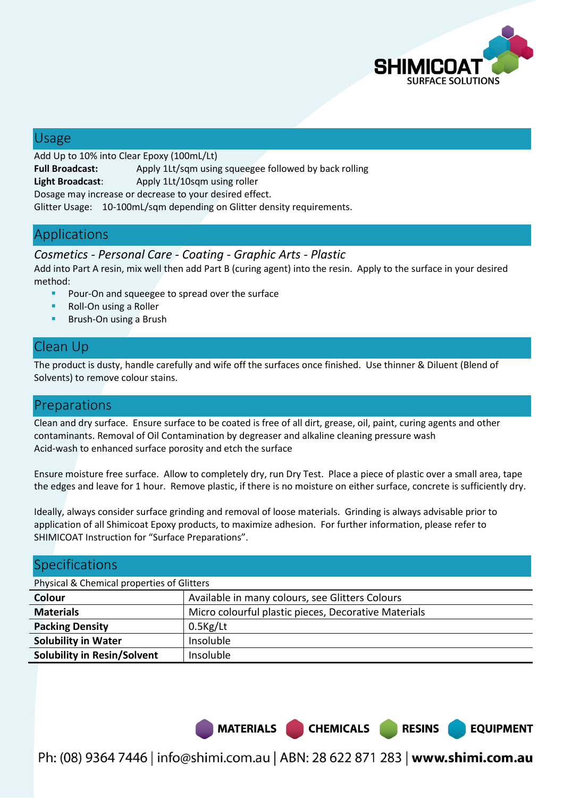

**EQUIPMENT** 

## Usage

Add Up to 10% into Clear Epoxy (100mL/Lt) **Full Broadcast:** Apply 1Lt/sqm using squeegee followed by back rolling **Light Broadcast**: Apply 1Lt/10sqm using roller Dosage may increase or decrease to your desired effect. Glitter Usage: 10-100mL/sqm depending on Glitter density requirements.

# Applications

#### *Cosmetics - Personal Care - Coating - Graphic Arts - Plastic*

Add into Part A resin, mix well then add Part B (curing agent) into the resin. Apply to the surface in your desired method:

- **Pour-On and squeegee to spread over the surface**
- Roll-On using a Roller
- Brush-On using a Brush

# Clean Up

The product is dusty, handle carefully and wife off the surfaces once finished. Use thinner & Diluent (Blend of Solvents) to remove colour stains.

# Preparations

Clean and dry surface. Ensure surface to be coated is free of all dirt, grease, oil, paint, curing agents and other contaminants. Removal of Oil Contamination by degreaser and alkaline cleaning pressure wash Acid-wash to enhanced surface porosity and etch the surface

Ensure moisture free surface. Allow to completely dry, run Dry Test. Place a piece of plastic over a small area, tape the edges and leave for 1 hour. Remove plastic, if there is no moisture on either surface, concrete is sufficiently dry.

Ideally, always consider surface grinding and removal of loose materials. Grinding is always advisable prior to application of all Shimicoat Epoxy products, to maximize adhesion. For further information, please refer to SHIMICOAT Instruction for "Surface Preparations".

| <b>Specifications</b>                      |                                                      |  |  |  |  |
|--------------------------------------------|------------------------------------------------------|--|--|--|--|
| Physical & Chemical properties of Glitters |                                                      |  |  |  |  |
| Colour                                     | Available in many colours, see Glitters Colours      |  |  |  |  |
| <b>Materials</b>                           | Micro colourful plastic pieces, Decorative Materials |  |  |  |  |
| <b>Packing Density</b>                     | $0.5$ Kg/Lt                                          |  |  |  |  |
| <b>Solubility in Water</b>                 | Insoluble                                            |  |  |  |  |
| <b>Solubility in Resin/Solvent</b>         | Insoluble                                            |  |  |  |  |

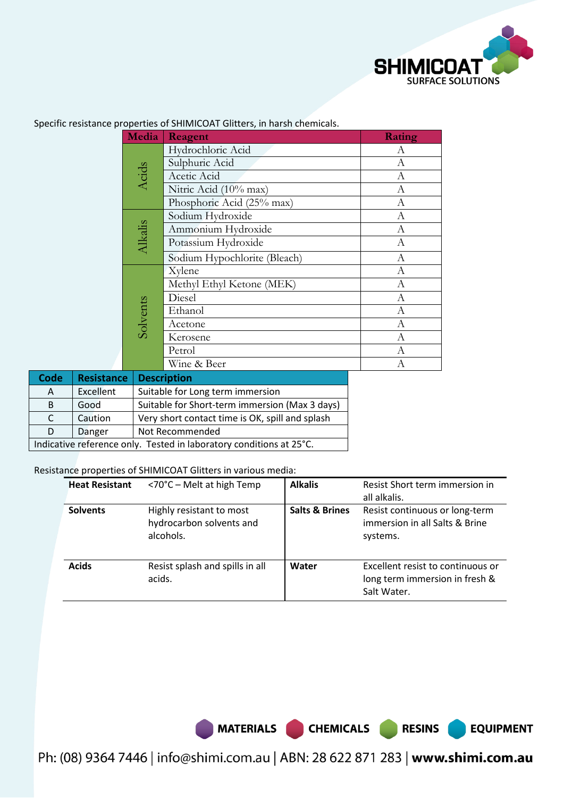

**EQUIPMENT** 

|                |                   | Media                            | Reagent                                        | Rating           |
|----------------|-------------------|----------------------------------|------------------------------------------------|------------------|
|                |                   |                                  | Hydrochloric Acid                              | А                |
|                |                   |                                  | Sulphuric Acid                                 | $\boldsymbol{A}$ |
|                |                   | Acids                            | Acetic Acid                                    | А                |
|                |                   |                                  | Nitric Acid (10% max)                          | $\boldsymbol{A}$ |
|                |                   |                                  | Phosphoric Acid (25% max)                      | A                |
|                |                   |                                  | Sodium Hydroxide                               | A                |
| <b>Alkalis</b> |                   |                                  | Ammonium Hydroxide                             | A                |
|                |                   |                                  | Potassium Hydroxide                            | $\boldsymbol{A}$ |
|                |                   |                                  | Sodium Hypochlorite (Bleach)                   | $\mathbf{A}$     |
|                |                   |                                  | Xylene                                         | A                |
|                |                   |                                  | Methyl Ethyl Ketone (MEK)                      | А                |
|                |                   | Solvents                         | Diesel                                         | А                |
|                |                   |                                  | Ethanol                                        | A                |
|                |                   |                                  | Acetone                                        | А                |
|                |                   |                                  | Kerosene                                       | А                |
|                |                   |                                  | Petrol                                         | A                |
|                |                   |                                  | Wine & Beer                                    | А                |
| <b>Code</b>    | <b>Resistance</b> |                                  | <b>Description</b>                             |                  |
| A              | Excellent         | Suitable for Long term immersion |                                                |                  |
| B              | Good              |                                  | Suitable for Short-term immersion (Max 3 days) |                  |

Specific resistance properties of SHIMICOAT Glitters, in harsh chemicals.

Resistance properties of SHIMICOAT Glitters in various media:

Indicative reference only. Tested in laboratory conditions at 25°C.

D | Danger | Not Recommended

C | Caution | Very short contact time is OK, spill and splash

| <b>Heat Resistant</b> | $<$ 70°C – Melt at high Temp                                      | <b>Alkalis</b>            | Resist Short term immersion in<br>all alkalis.                                     |
|-----------------------|-------------------------------------------------------------------|---------------------------|------------------------------------------------------------------------------------|
| <b>Solvents</b>       | Highly resistant to most<br>hydrocarbon solvents and<br>alcohols. | <b>Salts &amp; Brines</b> | Resist continuous or long-term<br>immersion in all Salts & Brine<br>systems.       |
| <b>Acids</b>          | Resist splash and spills in all<br>acids.                         | Water                     | Excellent resist to continuous or<br>long term immersion in fresh &<br>Salt Water. |

MATERIALS CHEMICALS RESINS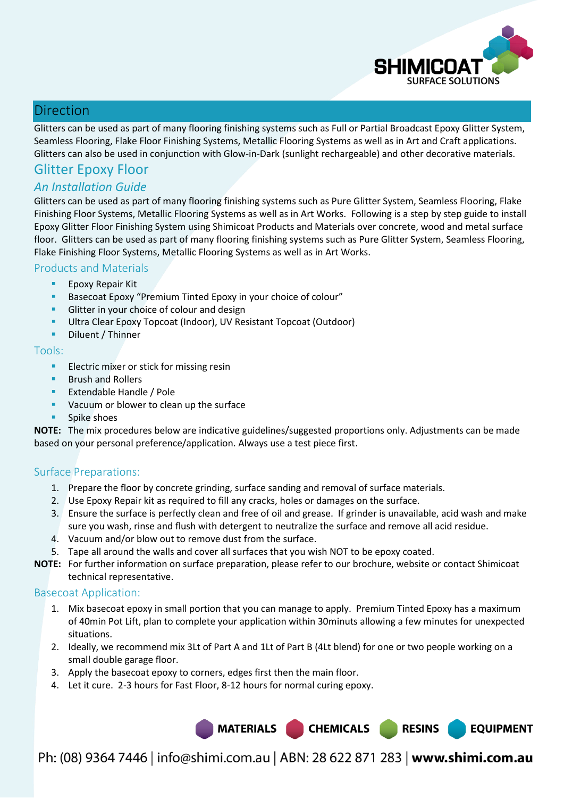

## Direction

Glitters can be used as part of many flooring finishing systems such as Full or Partial Broadcast Epoxy Glitter System, Seamless Flooring, Flake Floor Finishing Systems, Metallic Flooring Systems as well as in Art and Craft applications. Glitters can also be used in conjunction with Glow-in-Dark (sunlight rechargeable) and other decorative materials.

# Glitter Epoxy Floor

## *An Installation Guide*

Glitters can be used as part of many flooring finishing systems such as Pure Glitter System, Seamless Flooring, Flake Finishing Floor Systems, Metallic Flooring Systems as well as in Art Works. Following is a step by step guide to install Epoxy Glitter Floor Finishing System using Shimicoat Products and Materials over concrete, wood and metal surface floor. Glitters can be used as part of many flooring finishing systems such as Pure Glitter System, Seamless Flooring, Flake Finishing Floor Systems, Metallic Flooring Systems as well as in Art Works.

#### Products and Materials

- **Epoxy Repair Kit**
- Basecoat Epoxy "Premium Tinted Epoxy in your choice of colour"
- Glitter in your choice of colour and design
- Ultra Clear Epoxy Topcoat (Indoor), UV Resistant Topcoat (Outdoor)
- **•** Diluent / Thinner

#### Tools:

- **Electric mixer or stick for missing resin**
- **Brush and Rollers**
- Extendable Handle / Pole
- **Vacuum or blower to clean up the surface**
- **Spike shoes**

**NOTE:** The mix procedures below are indicative guidelines/suggested proportions only. Adjustments can be made based on your personal preference/application. Always use a test piece first.

#### Surface Preparations:

- 1. Prepare the floor by concrete grinding, surface sanding and removal of surface materials.
- 2. Use Epoxy Repair kit as required to fill any cracks, holes or damages on the surface.
- 3. Ensure the surface is perfectly clean and free of oil and grease. If grinder is unavailable, acid wash and make sure you wash, rinse and flush with detergent to neutralize the surface and remove all acid residue.
- 4. Vacuum and/or blow out to remove dust from the surface.
- 5. Tape all around the walls and cover all surfaces that you wish NOT to be epoxy coated.
- **NOTE:** For further information on surface preparation, please refer to our brochure, website or contact Shimicoat technical representative.

#### Basecoat Application:

- 1. Mix basecoat epoxy in small portion that you can manage to apply. Premium Tinted Epoxy has a maximum of 40min Pot Lift, plan to complete your application within 30minuts allowing a few minutes for unexpected situations.
- 2. Ideally, we recommend mix 3Lt of Part A and 1Lt of Part B (4Lt blend) for one or two people working on a small double garage floor.
- 3. Apply the basecoat epoxy to corners, edges first then the main floor.
- 4. Let it cure. 2-3 hours for Fast Floor, 8-12 hours for normal curing epoxy.

MATERIALS CHEMICALS RESINS

**EQUIPMENT**